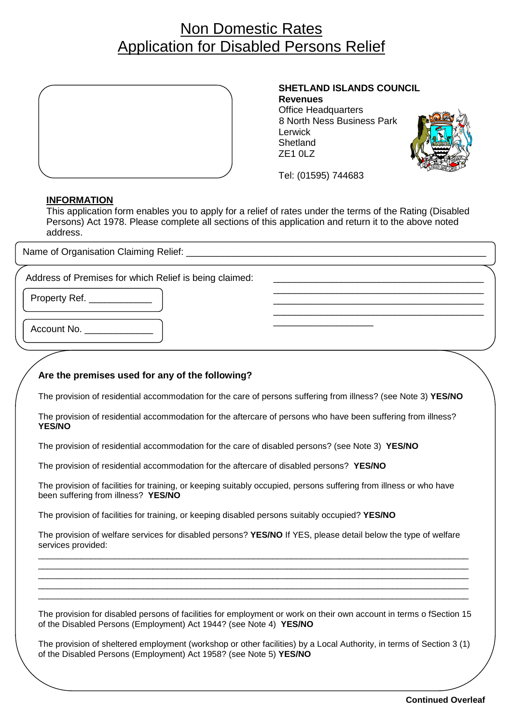# Non Domestic Rates Application for Disabled Persons Relief



#### **SHETLAND ISLANDS COUNCIL**

\_\_\_\_\_\_\_\_\_\_\_\_\_\_\_\_\_\_\_\_\_\_\_\_\_\_\_\_\_\_\_\_\_\_\_\_\_\_\_\_ \_\_\_\_\_\_\_\_\_\_\_\_\_\_\_\_\_\_\_\_\_\_\_\_\_\_\_\_\_\_\_\_\_\_\_\_\_\_\_\_ \_\_\_\_\_\_\_\_\_\_\_\_\_\_\_\_\_\_\_\_\_\_\_\_\_\_\_\_\_\_\_\_\_\_\_\_\_\_\_\_

**Revenues**  Office Headquarters 8 North Ness Business Park **Shetland** ZE1 0LZ



Tel: (01595) 744683

\_\_\_\_\_\_\_\_\_\_\_\_\_\_\_\_\_\_\_

#### **INFORMATION**

This application form enables you to apply for a relief of rates under the terms of the Rating (Disabled Persons) Act 1978. Please complete all sections of this application and return it to the above noted address.

Name of Organisation Claiming Relief: **Name** of Organisation Claiming Relief:

Address of Premises for which Relief is being claimed:

Property Ref.

Account No.

## **Are the premises used for any of the following?**

The provision of residential accommodation for the care of persons suffering from illness? (see Note 3) **YES/NO**

The provision of residential accommodation for the aftercare of persons who have been suffering from illness? **YES/NO**

The provision of residential accommodation for the care of disabled persons? (see Note 3) **YES/NO**

The provision of residential accommodation for the aftercare of disabled persons? **YES/NO**

The provision of facilities for training, or keeping suitably occupied, persons suffering from illness or who have been suffering from illness? **YES/NO**

The provision of facilities for training, or keeping disabled persons suitably occupied? **YES/NO**

The provision of welfare services for disabled persons? **YES/NO** If YES, please detail below the type of welfare services provided:

\_\_\_\_\_\_\_\_\_\_\_\_\_\_\_\_\_\_\_\_\_\_\_\_\_\_\_\_\_\_\_\_\_\_\_\_\_\_\_\_\_\_\_\_\_\_\_\_\_\_\_\_\_\_\_\_\_\_\_\_\_\_\_\_\_\_\_\_\_\_\_\_\_\_\_\_\_\_\_\_\_\_\_\_\_\_\_\_\_\_ \_\_\_\_\_\_\_\_\_\_\_\_\_\_\_\_\_\_\_\_\_\_\_\_\_\_\_\_\_\_\_\_\_\_\_\_\_\_\_\_\_\_\_\_\_\_\_\_\_\_\_\_\_\_\_\_\_\_\_\_\_\_\_\_\_\_\_\_\_\_\_\_\_\_\_\_\_\_\_\_\_\_\_\_\_\_\_\_\_\_ \_\_\_\_\_\_\_\_\_\_\_\_\_\_\_\_\_\_\_\_\_\_\_\_\_\_\_\_\_\_\_\_\_\_\_\_\_\_\_\_\_\_\_\_\_\_\_\_\_\_\_\_\_\_\_\_\_\_\_\_\_\_\_\_\_\_\_\_\_\_\_\_\_\_\_\_\_\_\_\_\_\_\_\_\_\_\_\_\_\_ \_\_\_\_\_\_\_\_\_\_\_\_\_\_\_\_\_\_\_\_\_\_\_\_\_\_\_\_\_\_\_\_\_\_\_\_\_\_\_\_\_\_\_\_\_\_\_\_\_\_\_\_\_\_\_\_\_\_\_\_\_\_\_\_\_\_\_\_\_\_\_\_\_\_\_\_\_\_\_\_\_\_\_\_\_\_\_\_\_\_ \_\_\_\_\_\_\_\_\_\_\_\_\_\_\_\_\_\_\_\_\_\_\_\_\_\_\_\_\_\_\_\_\_\_\_\_\_\_\_\_\_\_\_\_\_\_\_\_\_\_\_\_\_\_\_\_\_\_\_\_\_\_\_\_\_\_\_\_\_\_\_\_\_\_\_\_\_\_\_\_\_\_\_\_\_\_\_\_\_\_

The provision for disabled persons of facilities for employment or work on their own account in terms o fSection 15 of the Disabled Persons (Employment) Act 1944? (see Note 4) **YES/NO**

The provision of sheltered employment (workshop or other facilities) by a Local Authority, in terms of Section 3 (1) of the Disabled Persons (Employment) Act 1958? (see Note 5) **YES/NO**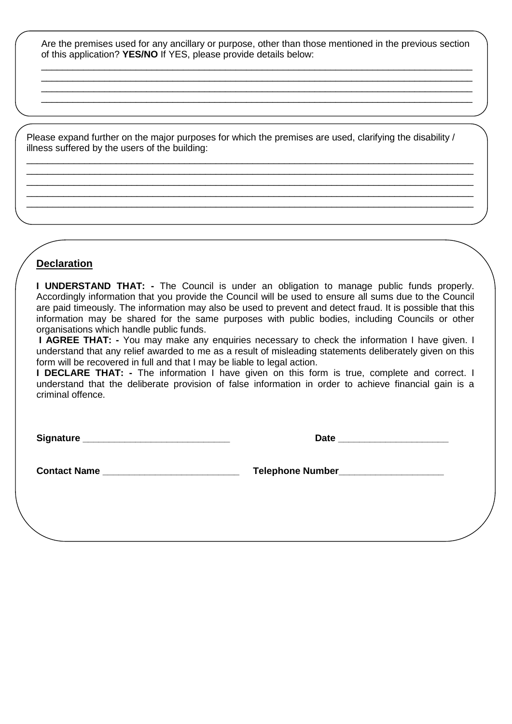Are the premises used for any ancillary or purpose, other than those mentioned in the previous section of this application? **YES/NO** If YES, please provide details below: \_\_\_\_\_\_\_\_\_\_\_\_\_\_\_\_\_\_\_\_\_\_\_\_\_\_\_\_\_\_\_\_\_\_\_\_\_\_\_\_\_\_\_\_\_\_\_\_\_\_\_\_\_\_\_\_\_\_\_\_\_\_\_\_\_\_\_\_\_\_\_\_\_\_\_\_\_\_\_\_\_\_

\_\_\_\_\_\_\_\_\_\_\_\_\_\_\_\_\_\_\_\_\_\_\_\_\_\_\_\_\_\_\_\_\_\_\_\_\_\_\_\_\_\_\_\_\_\_\_\_\_\_\_\_\_\_\_\_\_\_\_\_\_\_\_\_\_\_\_\_\_\_\_\_\_\_\_\_\_\_\_\_\_\_ \_\_\_\_\_\_\_\_\_\_\_\_\_\_\_\_\_\_\_\_\_\_\_\_\_\_\_\_\_\_\_\_\_\_\_\_\_\_\_\_\_\_\_\_\_\_\_\_\_\_\_\_\_\_\_\_\_\_\_\_\_\_\_\_\_\_\_\_\_\_\_\_\_\_\_\_\_\_\_\_\_\_ \_\_\_\_\_\_\_\_\_\_\_\_\_\_\_\_\_\_\_\_\_\_\_\_\_\_\_\_\_\_\_\_\_\_\_\_\_\_\_\_\_\_\_\_\_\_\_\_\_\_\_\_\_\_\_\_\_\_\_\_\_\_\_\_\_\_\_\_\_\_\_\_\_\_\_\_\_\_\_\_\_\_

Please expand further on the major purposes for which the premises are used, clarifying the disability / illness suffered by the users of the building:

\_\_\_\_\_\_\_\_\_\_\_\_\_\_\_\_\_\_\_\_\_\_\_\_\_\_\_\_\_\_\_\_\_\_\_\_\_\_\_\_\_\_\_\_\_\_\_\_\_\_\_\_\_\_\_\_\_\_\_\_\_\_\_\_\_\_\_\_\_\_\_\_\_\_\_\_\_\_\_\_\_\_\_\_\_ \_\_\_\_\_\_\_\_\_\_\_\_\_\_\_\_\_\_\_\_\_\_\_\_\_\_\_\_\_\_\_\_\_\_\_\_\_\_\_\_\_\_\_\_\_\_\_\_\_\_\_\_\_\_\_\_\_\_\_\_\_\_\_\_\_\_\_\_\_\_\_\_\_\_\_\_\_\_\_\_\_\_\_\_\_ \_\_\_\_\_\_\_\_\_\_\_\_\_\_\_\_\_\_\_\_\_\_\_\_\_\_\_\_\_\_\_\_\_\_\_\_\_\_\_\_\_\_\_\_\_\_\_\_\_\_\_\_\_\_\_\_\_\_\_\_\_\_\_\_\_\_\_\_\_\_\_\_\_\_\_\_\_\_\_\_\_\_\_\_\_ \_\_\_\_\_\_\_\_\_\_\_\_\_\_\_\_\_\_\_\_\_\_\_\_\_\_\_\_\_\_\_\_\_\_\_\_\_\_\_\_\_\_\_\_\_\_\_\_\_\_\_\_\_\_\_\_\_\_\_\_\_\_\_\_\_\_\_\_\_\_\_\_\_\_\_\_\_\_\_\_\_\_\_\_\_ \_\_\_\_\_\_\_\_\_\_\_\_\_\_\_\_\_\_\_\_\_\_\_\_\_\_\_\_\_\_\_\_\_\_\_\_\_\_\_\_\_\_\_\_\_\_\_\_\_\_\_\_\_\_\_\_\_\_\_\_\_\_\_\_\_\_\_\_\_\_\_\_\_\_\_\_\_\_\_\_\_\_\_\_\_

## **Declaration**

**I UNDERSTAND THAT: -** The Council is under an obligation to manage public funds properly. Accordingly information that you provide the Council will be used to ensure all sums due to the Council are paid timeously. The information may also be used to prevent and detect fraud. It is possible that this information may be shared for the same purposes with public bodies, including Councils or other organisations which handle public funds.

**I AGREE THAT:** - You may make any enquiries necessary to check the information I have given. I understand that any relief awarded to me as a result of misleading statements deliberately given on this form will be recovered in full and that I may be liable to legal action.

**I DECLARE THAT: -** The information I have given on this form is true, complete and correct. I understand that the deliberate provision of false information in order to achieve financial gain is a criminal offence.

**Signature \_\_\_\_\_\_\_\_\_\_\_\_\_\_\_\_\_\_\_\_\_\_\_\_\_\_\_\_ Date \_\_\_\_\_\_\_\_\_\_\_\_\_\_\_\_\_\_\_\_\_**

**Contact Name \_\_\_\_\_\_\_\_\_\_\_\_\_\_\_\_\_\_\_\_\_\_\_\_\_\_ Telephone Number\_\_\_\_\_\_\_\_\_\_\_\_\_\_\_\_\_\_\_\_**